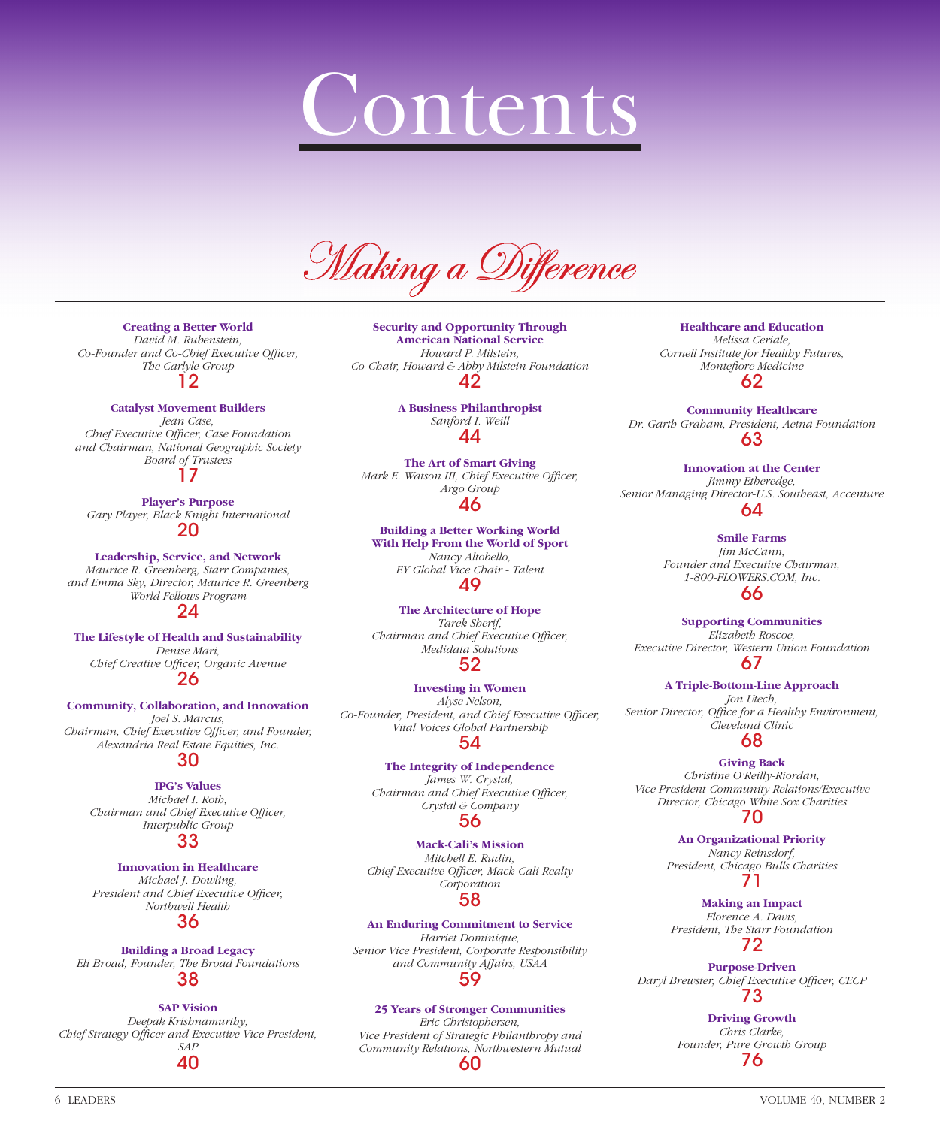# Contents

Making a Difference

**Creating a Better World** *David M. Rubenstein,*  Co-Founder and Co-Chief Executive Officer, *The Carlyle Group* 12

#### **Catalyst Movement Builders**

*Jean Case, Chief Executive Officer, Case Foundation and Chairman, National Geographic Society Board of Trustees*

17

**Player's Purpose** *Gary Player, Black Knight International* 20

**Leadership, Service, and Network** *Maurice R. Greenberg, Starr Companies, and Emma Sky, Director, Maurice R. Greenberg World Fellows Program*

24

**The Lifestyle of Health and Sustainability** *Denise Mari, Chief Creative Offi cer, Organic Avenue* 26

#### **Community, Collaboration, and Innovation** *Joel S. Marcus,*

*Chairman, Chief Executive Officer, and Founder, Alexandria Real Estate Equities, Inc.* 30

**IPG's Values** *Michael I. Roth, Chairman and Chief Executive Officer, Interpublic Group* 33

### **Innovation in Healthcare**

*Michael J. Dowling, President and Chief Executive Officer, Northwell Health* 36

**Building a Broad Legacy** *Eli Broad, Founder, The Broad Foundations* 38

**SAP Vision** *Deepak Krishnamurthy,*  Chief Strategy Officer and Executive Vice President, *SAP* 40

**Security and Opportunity Through American National Service** *Howard P. Milstein, Co-Chair, Howard & Abby Milstein Foundation* 42

> **A Business Philanthropist** *Sanford I. Weill* 44

**The Art of Smart Giving** *Mark E. Watson III, Chief Executive Officer, Argo Group* 46

**Building a Better Working World With Help From the World of Sport** *Nancy Altobello, EY Global Vice Chair - Talent* 49

**The Architecture of Hope** *Tarek Sherif, Chairman and Chief Executive Officer, Medidata Solutions* 52

**Investing in Women** *Alyse Nelson, Co-Founder, President, and Chief Executive Officer, Vital Voices Global Partnership* 54

> **The Integrity of Independence** *James W. Crystal, Chairman and Chief Executive Officer, Crystal & Company* 56

**Mack-Cali's Mission** *Mitchell E. Rudin,*  Chief Executive Officer, Mack-Cali Realty *Corporation* 58

**An Enduring Commitment to Service** *Harriet Dominique, Senior Vice President, Corporate Responsibility and Community Affairs, USAA* 59

**25 Years of Stronger Communities** *Eric Christophersen,* 

*Vice President of Strategic Philanthropy and Community Relations, Northwestern Mutual* 60

**Healthcare and Education** *Melissa Ceriale, Cornell Institute for Healthy Futures, Montefiore Medicine* 62

**Community Healthcare** *Dr. Garth Graham, President, Aetna Foundation* 63

**Innovation at the Center** *Jimmy Etheredge, Senior Managing Director-U.S. Southeast, Accenture* 64

**Smile Farms** *Jim McCann, Founder and Executive Chairman, 1-800-FLOWERS.COM, Inc.* 66

**Supporting Communities** *Elizabeth Roscoe, Executive Director, Western Union Foundation* 67

**A Triple-Bottom-Line Approach** *Jon Utech,*  Senior Director, Office for a Healthy Environment, *Cleveland Clinic* 68

**Giving Back** *Christine O'Reilly-Riordan, Vice President-Community Relations/Executive Director, Chicago White Sox Charities* 70

> **An Organizational Priority** *Nancy Reinsdorf,*

*President, Chicago Bulls Charities* 71

**Making an Impact** *Florence A. Davis, President, The Starr Foundation* 72

**Purpose-Driven** *Daryl Brewster, Chief Executive Officer, CECP* 73

> **Driving Growth** *Chris Clarke, Founder, Pure Growth Group* 76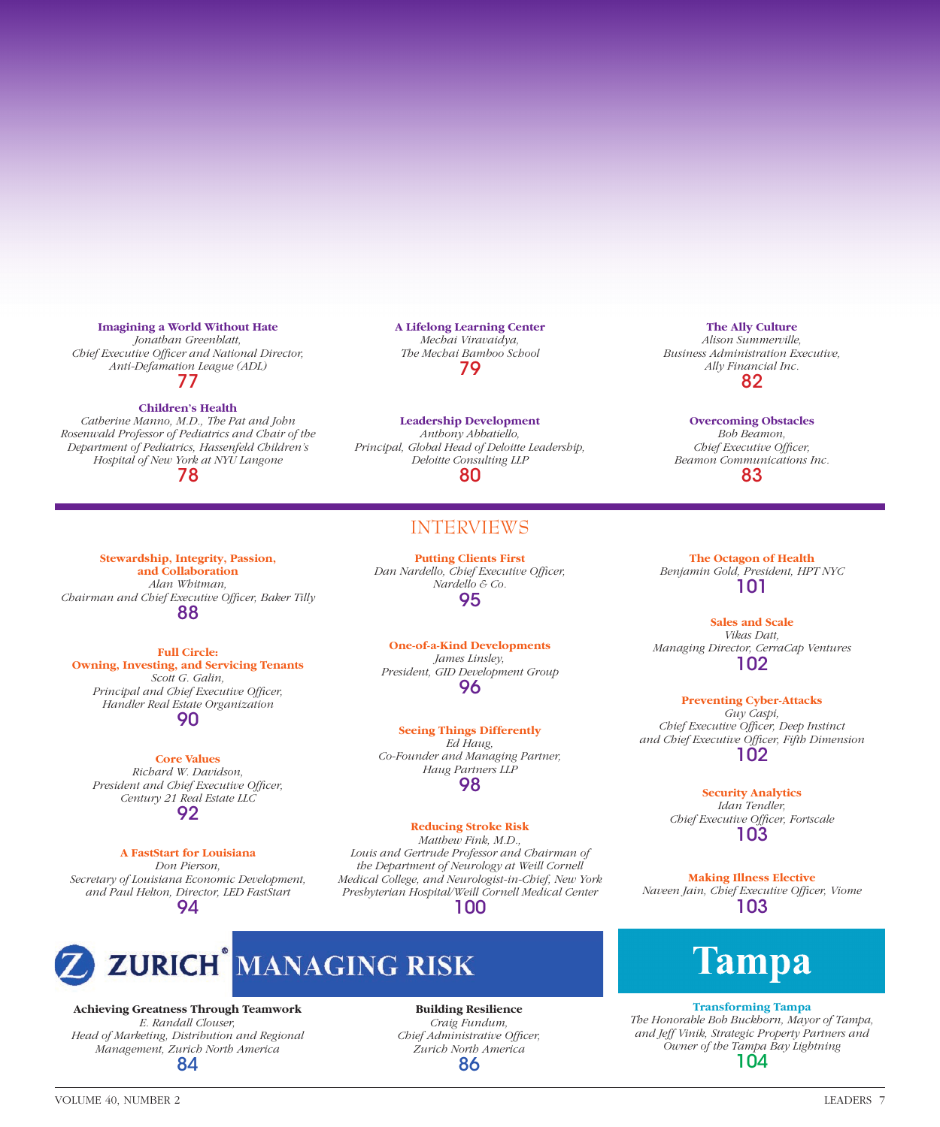#### **Imagining a World Without Hate**

*Jonathan Greenblatt, Chief Executive Officer and National Director, Anti-Defamation League (ADL)* 77

#### **Children's Health**

*Catherine Manno, M.D., The Pat and John Rosenwald Professor of Pediatrics and Chair of the Department of Pediatrics, Hassenfeld Children's Hospital of New York at NYU Langone* 78

**Stewardship, Integrity, Passion, and Collaboration** *Alan Whitman, Chairman and Chief Executive Officer, Baker Tilly* 88

**Full Circle: Owning, Investing, and Servicing Tenants** *Scott G. Galin, Principal and Chief Executive Officer, Handler Real Estate Organization* 90

**Core Values** *Richard W. Davidson, President and Chief Executive Officer, Century 21 Real Estate LLC* 92

#### **A FastStart for Louisiana**

*Don Pierson, Secretary of Louisiana Economic Development, and Paul Helton, Director, LED FastStart* 94

**A Lifelong Learning Center** *Mechai Viravaidya, The Mechai Bamboo School* 79

**Leadership Development** *Anthony Abbatiello, Principal, Global Head of Deloitte Leadership, Deloitte Consulting LLP* 80

#### INTERVIEWS

**Putting Clients First** *Dan Nardello, Chief Executive Officer, Nardello & Co.* 95

**One-of-a-Kind Developments** *James Linsley, President, GID Development Group* 96

**Seeing Things Differently** *Ed Haug, Co-Founder and Managing Partner, Haug Partners LLP* 98

#### **Reducing Stroke Risk**

*Matthew Fink, M.D., Louis and Gertrude Professor and Chairman of the Department of Neurology at Weill Cornell Medical College, and Neurologist-in-Chief, New York Presbyterian Hospital/Weill Cornell Medical Center* 100



**Achieving Greatness Through Teamwork** *E. Randall Clouser, Head of Marketing, Distribution and Regional Management, Zurich North America* 84

**Building Resilience** *Craig Fundum, Chief Administrative Officer, Zurich North America* 86

#### **The Ally Culture**

*Alison Summerville, Business Administration Executive, Ally Financial Inc.* 82

#### **Overcoming Obstacles**

*Bob Beamon, Chief Executive Officer, Beamon Communications Inc.* 83

**The Octagon of Health** *Benjamin Gold, President, HPT NYC* 101

**Sales and Scale** *Vikas Datt, Managing Director, CerraCap Ventures* 102

**Preventing Cyber-Attacks** *Guy Caspi,*  **Chief Executive Officer, Deep Instinct** *and Chief Executive Offi cer, Fifth Dimension* 102

> **Security Analytics** *Idan Tendler,*  **Chief Executive Officer, Fortscale** 103

**Making Illness Elective** *Naveen Jain, Chief Executive Offi cer, Viome* 103

# Tampa

**Transforming Tampa** *The Honorable Bob Buckhorn, Mayor of Tampa, and Jeff Vinik, Strategic Property Partners and Owner of the Tampa Bay Lightning* 104